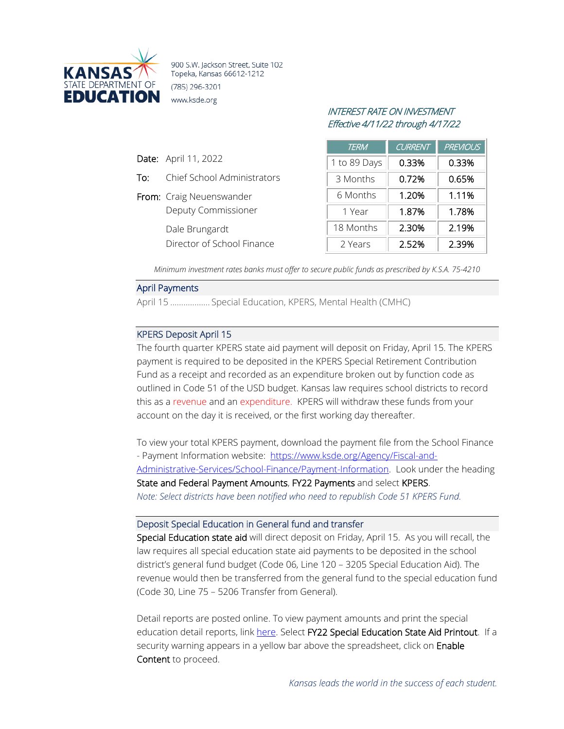

900 S.W. Jackson Street, Suite 102 Topeka, Kansas 66612-1212 (785) 296-3201 www.ksde.org

# INTEREST RATE ON INVESTMENT Effective 4/11/22 through 4/17/22

| <b>TERM</b>  | <b>CURRENT</b> | <b>PREVIOUS</b> |
|--------------|----------------|-----------------|
| 1 to 89 Days | 0.33%          | 0.33%           |
| 3 Months     | 0.72%          | 0.65%           |
| 6 Months     | 1.20%          | 1.11%           |
| 1 Year       | 1.87%          | 1.78%           |
| 18 Months    | 2.30%          | 2.19%           |
| 2 Years      | 2.52%          | 2.39%           |

*Minimum investment rates banks must offer to secure public funds as prescribed by K.S.A. 75-4210*

## April Payments

Date: April 11, 2022

To: Chief School Administrators

Deputy Commissioner

Director of School Finance

From: Craig Neuenswander

Dale Brungardt

April 15 .................. Special Education, KPERS, Mental Health (CMHC)

# KPERS Deposit April 15

The fourth quarter KPERS state aid payment will deposit on Friday, April 15. The KPERS payment is required to be deposited in the KPERS Special Retirement Contribution Fund as a receipt and recorded as an expenditure broken out by function code as outlined in Code 51 of the USD budget. Kansas law requires school districts to record this as a revenue and an expenditure. KPERS will withdraw these funds from your account on the day it is received, or the first working day thereafter.

To view your total KPERS payment, download the payment file from the School Finance - Payment Information website: [https://www.ksde.org/Agency/Fiscal-and-](https://www.ksde.org/Agency/Fiscal-and-Administrative-Services/School-Finance/Payment-Information)[Administrative-Services/School-Finance/Payment-Information.](https://www.ksde.org/Agency/Fiscal-and-Administrative-Services/School-Finance/Payment-Information) Look under the heading State and Federal Payment Amounts, FY22 Payments and select KPERS. *Note: Select districts have been notified who need to republish Code 51 KPERS Fund.*

#### Deposit Special Education in General fund and transfer

Special Education state aid will direct deposit on Friday, April 15. As you will recall, the law requires all special education state aid payments to be deposited in the school district's general fund budget (Code 06, Line 120 – 3205 Special Education Aid). The revenue would then be transferred from the general fund to the special education fund (Code 30, Line 75 – 5206 Transfer from General).

Detail reports are posted online. To view payment amounts and print the special education detail reports, link [here.](http://www.ksde.org/Agency/FiscalandAdministrativeServices/SchoolFinance/PaymentInformation.aspx) Select FY22 Special Education State Aid Printout. If a security warning appears in a yellow bar above the spreadsheet, click on Enable Content to proceed.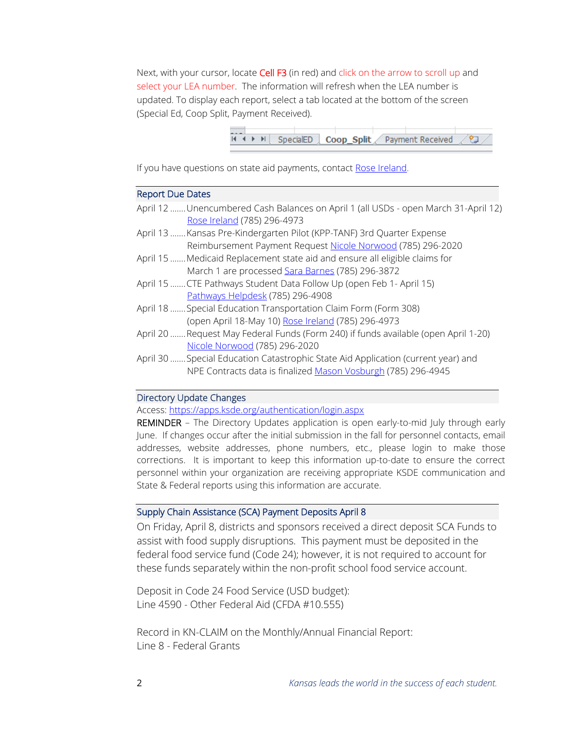Next, with your cursor, locate Cell F3 (in red) and click on the arrow to scroll up and select your LEA number. The information will refresh when the LEA number is updated. To display each report, select a tab located at the bottom of the screen (Special Ed, Coop Split, Payment Received).



If you have questions on state aid payments, contact [Rose Ireland.](mailto:rireland@ksde.org)

## Report Due Dates

- April 12 .......Unencumbered Cash Balances on April 1 (all USDs open March 31-April 12) [Rose Ireland](mailto:rireland@ksde.org) (785) 296-4973 April 13 .......Kansas Pre-Kindergarten Pilot (KPP-TANF) 3rd Quarter Expense
- Reimbursement Payment Request [Nicole Norwood](mailto:nnorwood@ksde.org) (785) 296-2020
- April 15 ....... Medicaid Replacement state aid and ensure all eligible claims for March 1 are processed [Sara Barnes](mailto:sbarnes@ksde.org) (785) 296-3872
- April 15 .......CTE Pathways Student Data Follow Up (open Feb 1- April 15) [Pathways Helpdesk](mailto:PathwaysHelpDesk@ksde.org) (785) 296-4908
- April 18 .......Special Education Transportation Claim Form (Form 308) (open April 18-May 10) [Rose Ireland](mailto:rireland@ksde.org) (785) 296-4973
- April 20 .......Request May Federal Funds (Form 240) if funds available (open April 1-20) [Nicole Norwood](mailto:nnorwood@ksde.org) (785) 296-2020
- April 30 .......Special Education Catastrophic State Aid Application (current year) and NPE Contracts data is finalize[d Mason Vosburgh](mailto:mvosburgh@ksde.org) (785) 296-4945

# Directory Update Changes

Access:<https://apps.ksde.org/authentication/login.aspx>

REMINDER – The Directory Updates application is open early-to-mid July through early June. If changes occur after the initial submission in the fall for personnel contacts, email addresses, website addresses, phone numbers, etc., please login to make those corrections. It is important to keep this information up-to-date to ensure the correct personnel within your organization are receiving appropriate KSDE communication and State & Federal reports using this information are accurate.

### Supply Chain Assistance (SCA) Payment Deposits April 8

On Friday, April 8, districts and sponsors received a direct deposit SCA Funds to assist with food supply disruptions. This payment must be deposited in the federal food service fund (Code 24); however, it is not required to account for these funds separately within the non-profit school food service account.

Deposit in Code 24 Food Service (USD budget): Line 4590 - Other Federal Aid (CFDA #10.555)

Record in KN-CLAIM on the Monthly/Annual Financial Report: Line 8 - Federal Grants